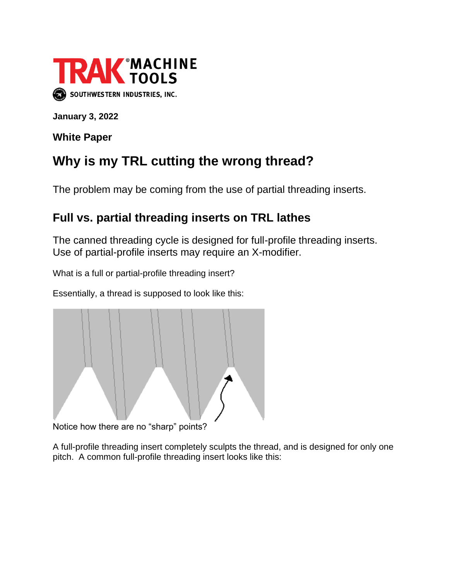

**January 3, 2022**

**White Paper**

## **Why is my TRL cutting the wrong thread?**

The problem may be coming from the use of partial threading inserts.

## **Full vs. partial threading inserts on TRL lathes**

The canned threading cycle is designed for full-profile threading inserts. Use of partial-profile inserts may require an X-modifier.

What is a full or partial-profile threading insert?

Essentially, a thread is supposed to look like this:



Notice how there are no "sharp" points?

A full-profile threading insert completely sculpts the thread, and is designed for only one pitch. A common full-profile threading insert looks like this: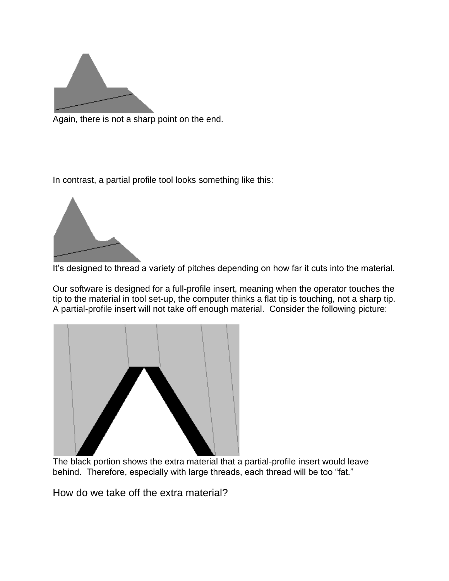

Again, there is not a sharp point on the end.

In contrast, a partial profile tool looks something like this:



It's designed to thread a variety of pitches depending on how far it cuts into the material.

Our software is designed for a full-profile insert, meaning when the operator touches the tip to the material in tool set-up, the computer thinks a flat tip is touching, not a sharp tip. A partial-profile insert will not take off enough material. Consider the following picture:



The black portion shows the extra material that a partial-profile insert would leave behind. Therefore, especially with large threads, each thread will be too "fat."

How do we take off the extra material?